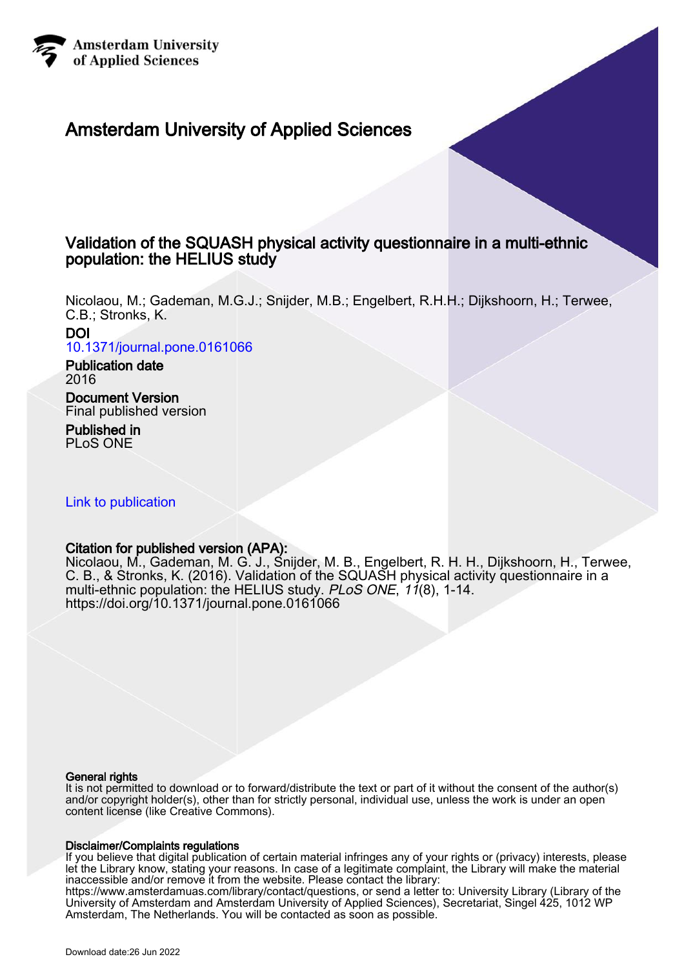

# Amsterdam University of Applied Sciences

## Validation of the SQUASH physical activity questionnaire in a multi-ethnic population: the HELIUS study

Nicolaou, M.; Gademan, M.G.J.; Snijder, M.B.; Engelbert, R.H.H.; Dijkshoorn, H.; Terwee, C.B.; Stronks, K.

DOI [10.1371/journal.pone.0161066](https://doi.org/10.1371/journal.pone.0161066)

Publication date 2016

Document Version Final published version

Published in PLoS ONE

#### [Link to publication](https://research.hva.nl/en/publications/6492d3ef-3445-416b-958f-a3f296fd2f7a)

#### Citation for published version (APA):

Nicolaou, M., Gademan, M. G. J., Snijder, M. B., Engelbert, R. H. H., Dijkshoorn, H., Terwee, C. B., & Stronks, K. (2016). Validation of the SQUASH physical activity questionnaire in a multi-ethnic population: the HELIUS study. PLoS ONE, 11(8), 1-14. <https://doi.org/10.1371/journal.pone.0161066>

#### General rights

It is not permitted to download or to forward/distribute the text or part of it without the consent of the author(s) and/or copyright holder(s), other than for strictly personal, individual use, unless the work is under an open content license (like Creative Commons).

#### Disclaimer/Complaints regulations

If you believe that digital publication of certain material infringes any of your rights or (privacy) interests, please let the Library know, stating your reasons. In case of a legitimate complaint, the Library will make the material inaccessible and/or remove it from the website. Please contact the library: https://www.amsterdamuas.com/library/contact/questions, or send a letter to: University Library (Library of the University of Amsterdam and Amsterdam University of Applied Sciences), Secretariat, Singel 425, 1012 WP Amsterdam, The Netherlands. You will be contacted as soon as possible.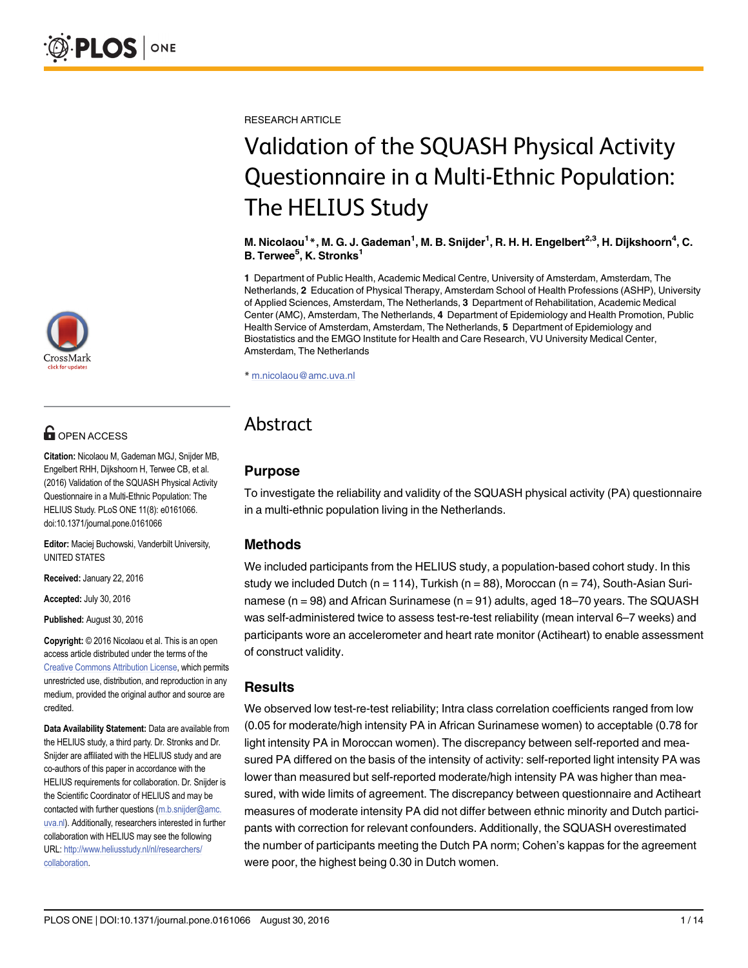

# **OPEN ACCESS**

Citation: Nicolaou M, Gademan MGJ, Snijder MB, Engelbert RHH, Dijkshoorn H, Terwee CB, et al. (2016) Validation of the SQUASH Physical Activity Questionnaire in a Multi-Ethnic Population: The HELIUS Study. PLoS ONE 11(8): e0161066. doi:10.1371/journal.pone.0161066

Editor: Maciej Buchowski, Vanderbilt University, UNITED STATES

Received: January 22, 2016

Accepted: July 30, 2016

Published: August 30, 2016

Copyright: © 2016 Nicolaou et al. This is an open access article distributed under the terms of the [Creative Commons Attribution License,](http://creativecommons.org/licenses/by/4.0/) which permits unrestricted use, distribution, and reproduction in any medium, provided the original author and source are credited.

Data Availability Statement: Data are available from the HELIUS study, a third party. Dr. Stronks and Dr. Snijder are affiliated with the HELIUS study and are co-authors of this paper in accordance with the HELIUS requirements for collaboration. Dr. Snijder is the Scientific Coordinator of HELIUS and may be contacted with further questions (m.b.snijder@amc. uva.nl). Additionally, researchers interested in further collaboration with HELIUS may see the following URL: [http://www.heliusstudy.nl/nl/researchers/](http://www.heliusstudy.nl/nl/researchers/collaboration) [collaboration](http://www.heliusstudy.nl/nl/researchers/collaboration).

RESEARCH ARTICLE

# Validation of the SQUASH Physical Activity Questionnaire in a Multi-Ethnic Population: The HELIUS Study

#### M. Nicolaou<sup>1</sup>\*, M. G. J. Gademan<sup>1</sup>, M. B. Snijder<sup>1</sup>, R. H. H. Engelbert<sup>2,3</sup>, H. Dijkshoorn<sup>4</sup>, C. B. Terwee<sup>5</sup>, K. Stronks<sup>1</sup>

1 Department of Public Health, Academic Medical Centre, University of Amsterdam, Amsterdam, The Netherlands, 2 Education of Physical Therapy, Amsterdam School of Health Professions (ASHP), University of Applied Sciences, Amsterdam, The Netherlands, 3 Department of Rehabilitation, Academic Medical Center (AMC), Amsterdam, The Netherlands, 4 Department of Epidemiology and Health Promotion, Public Health Service of Amsterdam, Amsterdam, The Netherlands, 5 Department of Epidemiology and Biostatistics and the EMGO Institute for Health and Care Research, VU University Medical Center, Amsterdam, The Netherlands

\* m.nicolaou@amc.uva.nl

# Abstract

#### Purpose

To investigate the reliability and validity of the SQUASH physical activity (PA) questionnaire in a multi-ethnic population living in the Netherlands.

### Methods

We included participants from the HELIUS study, a population-based cohort study. In this study we included Dutch ( $n = 114$ ), Turkish ( $n = 88$ ), Moroccan ( $n = 74$ ), South-Asian Surinamese ( $n = 98$ ) and African Surinamese ( $n = 91$ ) adults, aged 18–70 years. The SQUASH was self-administered twice to assess test-re-test reliability (mean interval 6–7 weeks) and participants wore an accelerometer and heart rate monitor (Actiheart) to enable assessment of construct validity.

#### Results

We observed low test-re-test reliability; Intra class correlation coefficients ranged from low (0.05 for moderate/high intensity PA in African Surinamese women) to acceptable (0.78 for light intensity PA in Moroccan women). The discrepancy between self-reported and measured PA differed on the basis of the intensity of activity: self-reported light intensity PA was lower than measured but self-reported moderate/high intensity PA was higher than measured, with wide limits of agreement. The discrepancy between questionnaire and Actiheart measures of moderate intensity PA did not differ between ethnic minority and Dutch participants with correction for relevant confounders. Additionally, the SQUASH overestimated the number of participants meeting the Dutch PA norm; Cohen's kappas for the agreement were poor, the highest being 0.30 in Dutch women.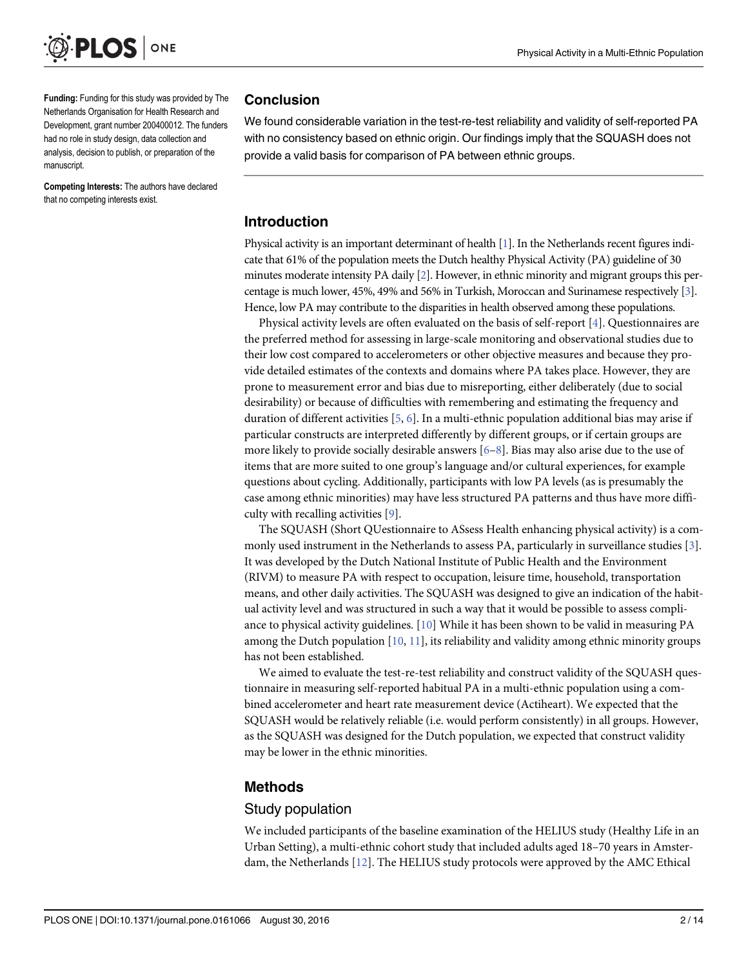<span id="page-2-0"></span>

Funding: Funding for this study was provided by The Netherlands Organisation for Health Research and Development, grant number 200400012. The funders had no role in study design, data collection and analysis, decision to publish, or preparation of the manuscript.

Competing Interests: The authors have declared that no competing interests exist.

#### Conclusion

We found considerable variation in the test-re-test reliability and validity of self-reported PA with no consistency based on ethnic origin. Our findings imply that the SQUASH does not provide a valid basis for comparison of PA between ethnic groups.

#### Introduction

Physical activity is an important determinant of health [\[1](#page-13-0)]. In the Netherlands recent figures indicate that 61% of the population meets the Dutch healthy Physical Activity (PA) guideline of 30 minutes moderate intensity PA daily [\[2\]](#page-13-0). However, in ethnic minority and migrant groups this percentage is much lower, 45%, 49% and 56% in Turkish, Moroccan and Surinamese respectively [\[3](#page-13-0)]. Hence, low PA may contribute to the disparities in health observed among these populations.

Physical activity levels are often evaluated on the basis of self-report [\[4\]](#page-13-0). Questionnaires are the preferred method for assessing in large-scale monitoring and observational studies due to their low cost compared to accelerometers or other objective measures and because they provide detailed estimates of the contexts and domains where PA takes place. However, they are prone to measurement error and bias due to misreporting, either deliberately (due to social desirability) or because of difficulties with remembering and estimating the frequency and duration of different activities [[5](#page-13-0), [6\]](#page-13-0). In a multi-ethnic population additional bias may arise if particular constructs are interpreted differently by different groups, or if certain groups are more likely to provide socially desirable answers  $[6-8]$  $[6-8]$  $[6-8]$  $[6-8]$ . Bias may also arise due to the use of items that are more suited to one group's language and/or cultural experiences, for example questions about cycling. Additionally, participants with low PA levels (as is presumably the case among ethnic minorities) may have less structured PA patterns and thus have more difficulty with recalling activities [\[9](#page-13-0)].

The SQUASH (Short QUestionnaire to ASsess Health enhancing physical activity) is a commonly used instrument in the Netherlands to assess PA, particularly in surveillance studies  $[3]$ . It was developed by the Dutch National Institute of Public Health and the Environment (RIVM) to measure PA with respect to occupation, leisure time, household, transportation means, and other daily activities. The SQUASH was designed to give an indication of the habitual activity level and was structured in such a way that it would be possible to assess compliance to physical activity guidelines. [\[10\]](#page-13-0) While it has been shown to be valid in measuring PA among the Dutch population  $[10, 11]$  $[10, 11]$  $[10, 11]$  $[10, 11]$  $[10, 11]$ , its reliability and validity among ethnic minority groups has not been established.

We aimed to evaluate the test-re-test reliability and construct validity of the SQUASH questionnaire in measuring self-reported habitual PA in a multi-ethnic population using a combined accelerometer and heart rate measurement device (Actiheart). We expected that the SQUASH would be relatively reliable (i.e. would perform consistently) in all groups. However, as the SQUASH was designed for the Dutch population, we expected that construct validity may be lower in the ethnic minorities.

#### Methods

#### Study population

We included participants of the baseline examination of the HELIUS study (Healthy Life in an Urban Setting), a multi-ethnic cohort study that included adults aged 18–70 years in Amsterdam, the Netherlands [\[12\]](#page-13-0). The HELIUS study protocols were approved by the AMC Ethical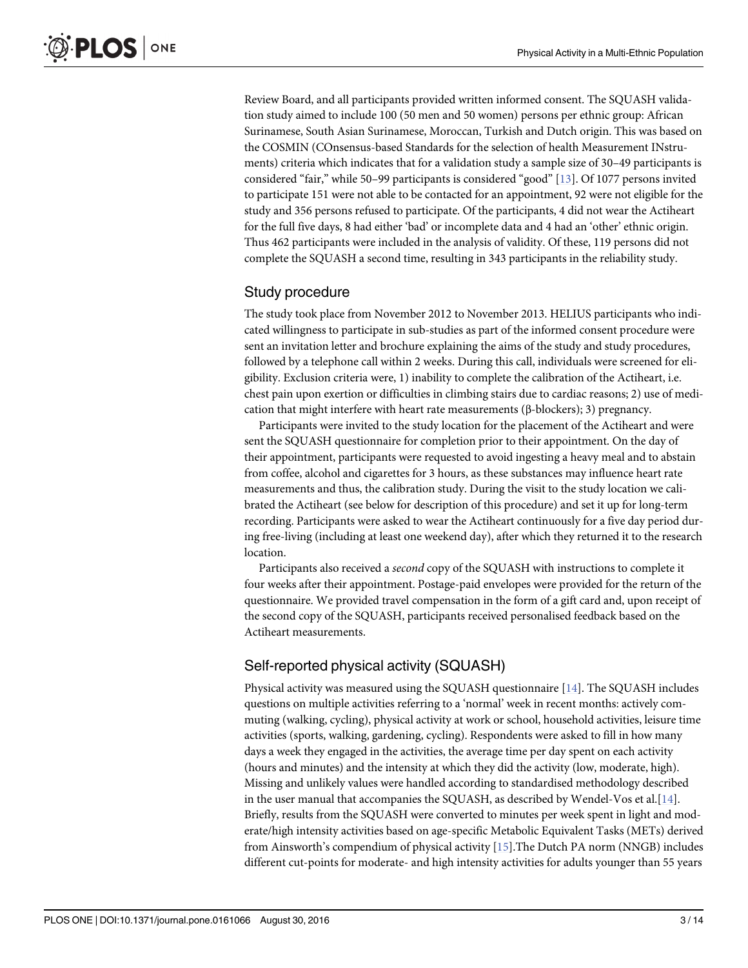<span id="page-3-0"></span>Review Board, and all participants provided written informed consent. The SQUASH validation study aimed to include 100 (50 men and 50 women) persons per ethnic group: African Surinamese, South Asian Surinamese, Moroccan, Turkish and Dutch origin. This was based on the COSMIN (COnsensus-based Standards for the selection of health Measurement INstruments) criteria which indicates that for a validation study a sample size of 30–49 participants is considered "fair," while 50–99 participants is considered "good" [\[13\]](#page-13-0). Of 1077 persons invited to participate 151 were not able to be contacted for an appointment, 92 were not eligible for the study and 356 persons refused to participate. Of the participants, 4 did not wear the Actiheart for the full five days, 8 had either 'bad' or incomplete data and 4 had an 'other' ethnic origin. Thus 462 participants were included in the analysis of validity. Of these, 119 persons did not complete the SQUASH a second time, resulting in 343 participants in the reliability study.

### Study procedure

The study took place from November 2012 to November 2013. HELIUS participants who indicated willingness to participate in sub-studies as part of the informed consent procedure were sent an invitation letter and brochure explaining the aims of the study and study procedures, followed by a telephone call within 2 weeks. During this call, individuals were screened for eligibility. Exclusion criteria were, 1) inability to complete the calibration of the Actiheart, i.e. chest pain upon exertion or difficulties in climbing stairs due to cardiac reasons; 2) use of medication that might interfere with heart rate measurements (β-blockers); 3) pregnancy.

Participants were invited to the study location for the placement of the Actiheart and were sent the SQUASH questionnaire for completion prior to their appointment. On the day of their appointment, participants were requested to avoid ingesting a heavy meal and to abstain from coffee, alcohol and cigarettes for 3 hours, as these substances may influence heart rate measurements and thus, the calibration study. During the visit to the study location we calibrated the Actiheart (see below for description of this procedure) and set it up for long-term recording. Participants were asked to wear the Actiheart continuously for a five day period during free-living (including at least one weekend day), after which they returned it to the research location.

Participants also received a second copy of the SQUASH with instructions to complete it four weeks after their appointment. Postage-paid envelopes were provided for the return of the questionnaire. We provided travel compensation in the form of a gift card and, upon receipt of the second copy of the SQUASH, participants received personalised feedback based on the Actiheart measurements.

### Self-reported physical activity (SQUASH)

Physical activity was measured using the SQUASH questionnaire [\[14\]](#page-13-0). The SQUASH includes questions on multiple activities referring to a 'normal' week in recent months: actively commuting (walking, cycling), physical activity at work or school, household activities, leisure time activities (sports, walking, gardening, cycling). Respondents were asked to fill in how many days a week they engaged in the activities, the average time per day spent on each activity (hours and minutes) and the intensity at which they did the activity (low, moderate, high). Missing and unlikely values were handled according to standardised methodology described in the user manual that accompanies the SQUASH, as described by Wendel-Vos et al.  $[14]$  $[14]$  $[14]$ . Briefly, results from the SQUASH were converted to minutes per week spent in light and moderate/high intensity activities based on age-specific Metabolic Equivalent Tasks (METs) derived from Ainsworth's compendium of physical activity [[15\]](#page-13-0).The Dutch PA norm (NNGB) includes different cut-points for moderate- and high intensity activities for adults younger than 55 years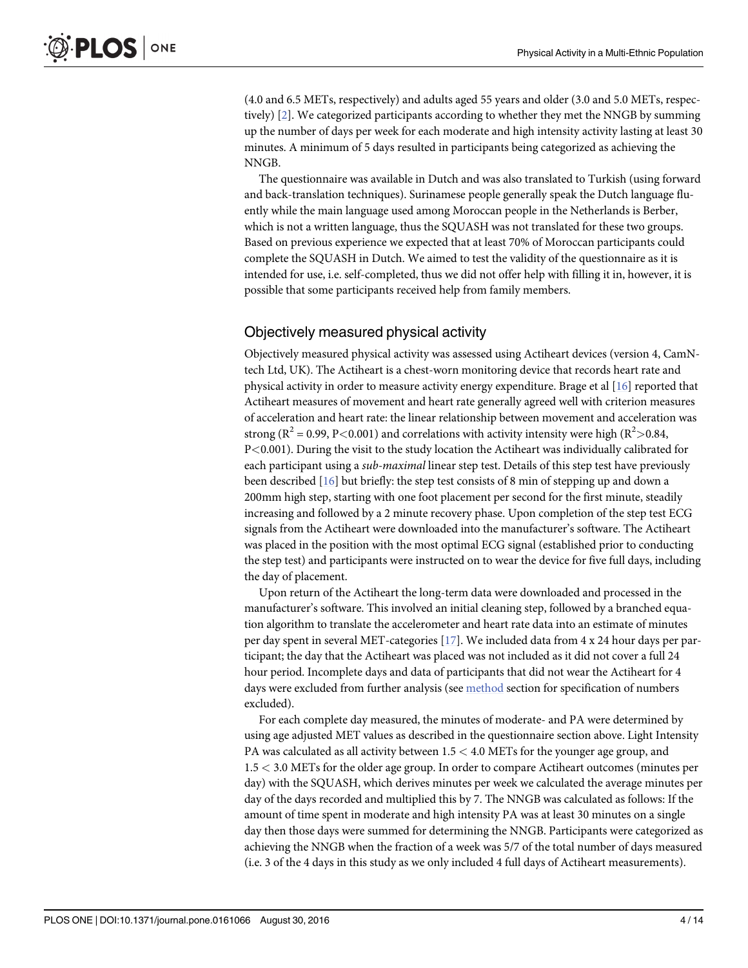<span id="page-4-0"></span>(4.0 and 6.5 METs, respectively) and adults aged 55 years and older (3.0 and 5.0 METs, respectively) [[2](#page-13-0)]. We categorized participants according to whether they met the NNGB by summing up the number of days per week for each moderate and high intensity activity lasting at least 30 minutes. A minimum of 5 days resulted in participants being categorized as achieving the NNGB.

The questionnaire was available in Dutch and was also translated to Turkish (using forward and back-translation techniques). Surinamese people generally speak the Dutch language fluently while the main language used among Moroccan people in the Netherlands is Berber, which is not a written language, thus the SQUASH was not translated for these two groups. Based on previous experience we expected that at least 70% of Moroccan participants could complete the SQUASH in Dutch. We aimed to test the validity of the questionnaire as it is intended for use, i.e. self-completed, thus we did not offer help with filling it in, however, it is possible that some participants received help from family members.

#### Objectively measured physical activity

Objectively measured physical activity was assessed using Actiheart devices (version 4, CamNtech Ltd, UK). The Actiheart is a chest-worn monitoring device that records heart rate and physical activity in order to measure activity energy expenditure. Brage et al [\[16\]](#page-13-0) reported that Actiheart measures of movement and heart rate generally agreed well with criterion measures of acceleration and heart rate: the linear relationship between movement and acceleration was strong ( $R^2$  = 0.99, P<0.001) and correlations with activity intensity were high ( $R^2$ >0.84, P<0.001). During the visit to the study location the Actiheart was individually calibrated for each participant using a sub-maximal linear step test. Details of this step test have previously been described [\[16](#page-13-0)] but briefly: the step test consists of 8 min of stepping up and down a 200mm high step, starting with one foot placement per second for the first minute, steadily increasing and followed by a 2 minute recovery phase. Upon completion of the step test ECG signals from the Actiheart were downloaded into the manufacturer's software. The Actiheart was placed in the position with the most optimal ECG signal (established prior to conducting the step test) and participants were instructed on to wear the device for five full days, including the day of placement.

Upon return of the Actiheart the long-term data were downloaded and processed in the manufacturer's software. This involved an initial cleaning step, followed by a branched equation algorithm to translate the accelerometer and heart rate data into an estimate of minutes per day spent in several MET-categories [\[17\]](#page-13-0). We included data from 4 x 24 hour days per participant; the day that the Actiheart was placed was not included as it did not cover a full 24 hour period. Incomplete days and data of participants that did not wear the Actiheart for 4 days were excluded from further analysis (see [method](#page-2-0) section for specification of numbers excluded).

For each complete day measured, the minutes of moderate- and PA were determined by using age adjusted MET values as described in the questionnaire section above. Light Intensity PA was calculated as all activity between 1.5 < 4.0 METs for the younger age group, and 1.5 < 3.0 METs for the older age group. In order to compare Actiheart outcomes (minutes per day) with the SQUASH, which derives minutes per week we calculated the average minutes per day of the days recorded and multiplied this by 7. The NNGB was calculated as follows: If the amount of time spent in moderate and high intensity PA was at least 30 minutes on a single day then those days were summed for determining the NNGB. Participants were categorized as achieving the NNGB when the fraction of a week was 5/7 of the total number of days measured (i.e. 3 of the 4 days in this study as we only included 4 full days of Actiheart measurements).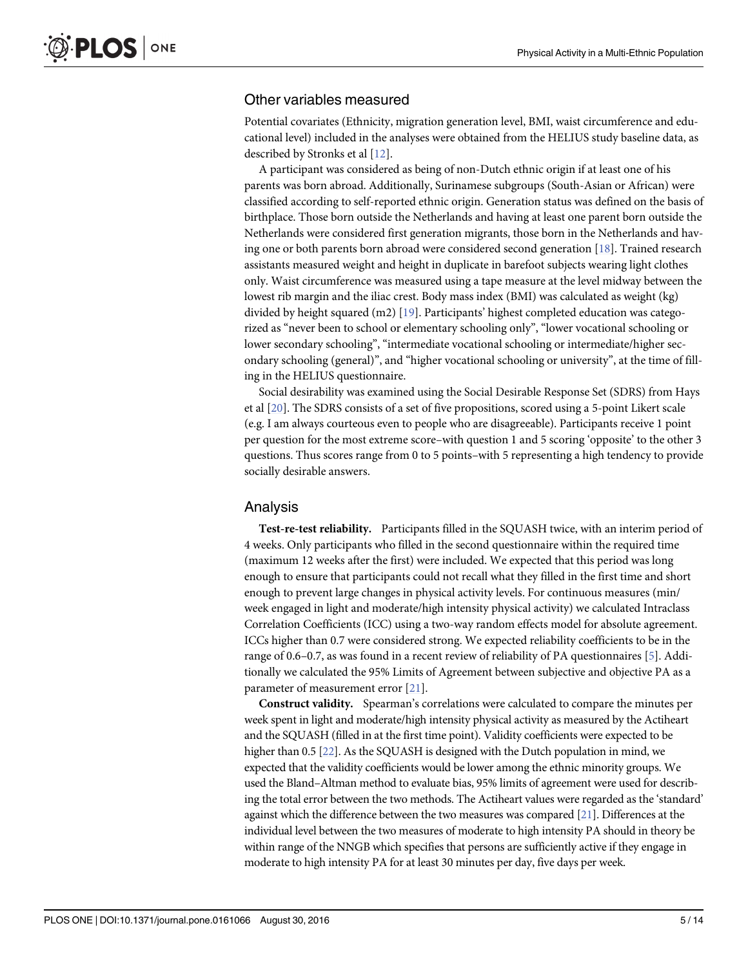#### <span id="page-5-0"></span>Other variables measured

Potential covariates (Ethnicity, migration generation level, BMI, waist circumference and educational level) included in the analyses were obtained from the HELIUS study baseline data, as described by Stronks et al [\[12\]](#page-13-0).

A participant was considered as being of non-Dutch ethnic origin if at least one of his parents was born abroad. Additionally, Surinamese subgroups (South-Asian or African) were classified according to self-reported ethnic origin. Generation status was defined on the basis of birthplace. Those born outside the Netherlands and having at least one parent born outside the Netherlands were considered first generation migrants, those born in the Netherlands and having one or both parents born abroad were considered second generation [\[18\]](#page-13-0). Trained research assistants measured weight and height in duplicate in barefoot subjects wearing light clothes only. Waist circumference was measured using a tape measure at the level midway between the lowest rib margin and the iliac crest. Body mass index (BMI) was calculated as weight (kg) divided by height squared  $(m2)$  [[19](#page-13-0)]. Participants' highest completed education was categorized as "never been to school or elementary schooling only", "lower vocational schooling or lower secondary schooling", "intermediate vocational schooling or intermediate/higher secondary schooling (general)", and "higher vocational schooling or university", at the time of filling in the HELIUS questionnaire.

Social desirability was examined using the Social Desirable Response Set (SDRS) from Hays et al [[20\]](#page-13-0). The SDRS consists of a set of five propositions, scored using a 5-point Likert scale (e.g. I am always courteous even to people who are disagreeable). Participants receive 1 point per question for the most extreme score–with question 1 and 5 scoring 'opposite' to the other 3 questions. Thus scores range from 0 to 5 points–with 5 representing a high tendency to provide socially desirable answers.

#### Analysis

Test-re-test reliability. Participants filled in the SQUASH twice, with an interim period of 4 weeks. Only participants who filled in the second questionnaire within the required time (maximum 12 weeks after the first) were included. We expected that this period was long enough to ensure that participants could not recall what they filled in the first time and short enough to prevent large changes in physical activity levels. For continuous measures (min/ week engaged in light and moderate/high intensity physical activity) we calculated Intraclass Correlation Coefficients (ICC) using a two-way random effects model for absolute agreement. ICCs higher than 0.7 were considered strong. We expected reliability coefficients to be in the range of 0.6–0.7, as was found in a recent review of reliability of PA questionnaires [\[5\]](#page-13-0). Additionally we calculated the 95% Limits of Agreement between subjective and objective PA as a parameter of measurement error [\[21\]](#page-14-0).

Construct validity. Spearman's correlations were calculated to compare the minutes per week spent in light and moderate/high intensity physical activity as measured by the Actiheart and the SQUASH (filled in at the first time point). Validity coefficients were expected to be higher than 0.5 [\[22\]](#page-14-0). As the SQUASH is designed with the Dutch population in mind, we expected that the validity coefficients would be lower among the ethnic minority groups. We used the Bland–Altman method to evaluate bias, 95% limits of agreement were used for describing the total error between the two methods. The Actiheart values were regarded as the 'standard' against which the difference between the two measures was compared [[21](#page-14-0)]. Differences at the individual level between the two measures of moderate to high intensity PA should in theory be within range of the NNGB which specifies that persons are sufficiently active if they engage in moderate to high intensity PA for at least 30 minutes per day, five days per week.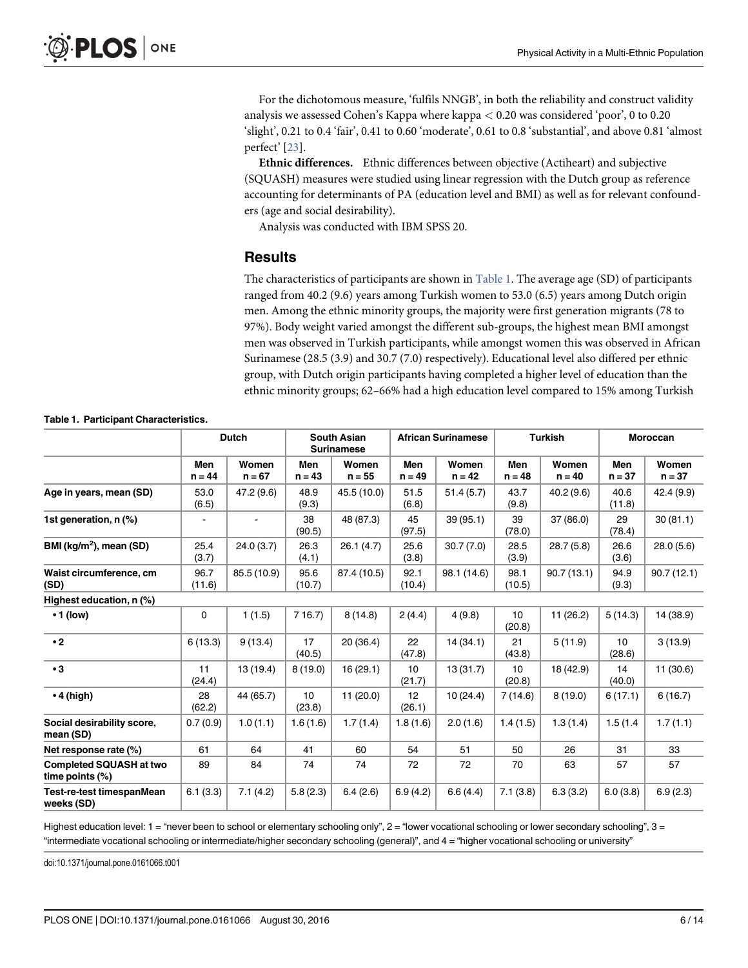<span id="page-6-0"></span>For the dichotomous measure, 'fulfils NNGB', in both the reliability and construct validity analysis we assessed Cohen's Kappa where kappa < 0.20 was considered 'poor', 0 to 0.20 'slight', 0.21 to 0.4 'fair', 0.41 to 0.60 'moderate', 0.61 to 0.8 'substantial', and above 0.81 'almost perfect' [\[23\]](#page-14-0).

Ethnic differences. Ethnic differences between objective (Actiheart) and subjective (SQUASH) measures were studied using linear regression with the Dutch group as reference accounting for determinants of PA (education level and BMI) as well as for relevant confounders (age and social desirability).

Analysis was conducted with IBM SPSS 20.

#### **Results**

The characteristics of participants are shown in  $Table 1$ . The average age (SD) of participants ranged from 40.2 (9.6) years among Turkish women to 53.0 (6.5) years among Dutch origin men. Among the ethnic minority groups, the majority were first generation migrants (78 to 97%). Body weight varied amongst the different sub-groups, the highest mean BMI amongst men was observed in Turkish participants, while amongst women this was observed in African Surinamese (28.5 (3.9) and 30.7 (7.0) respectively). Educational level also differed per ethnic group, with Dutch origin participants having completed a higher level of education than the ethnic minority groups; 62–66% had a high education level compared to 15% among Turkish

#### Table 1. Participant Characteristics.

|                                                      |                 | <b>Dutch</b>      |                 | <b>South Asian</b><br><b>Surinamese</b> |                 | <b>African Surinamese</b> | <b>Turkish</b>  |                   | <b>Moroccan</b>        |                   |
|------------------------------------------------------|-----------------|-------------------|-----------------|-----------------------------------------|-----------------|---------------------------|-----------------|-------------------|------------------------|-------------------|
|                                                      | Men<br>$n = 44$ | Women<br>$n = 67$ | Men<br>$n = 43$ | Women<br>$n = 55$                       | Men<br>$n = 49$ | Women<br>$n = 42$         | Men<br>$n = 48$ | Women<br>$n = 40$ | <b>Men</b><br>$n = 37$ | Women<br>$n = 37$ |
| Age in years, mean (SD)                              | 53.0<br>(6.5)   | 47.2 (9.6)        | 48.9<br>(9.3)   | 45.5 (10.0)                             | 51.5<br>(6.8)   | 51.4(5.7)                 | 43.7<br>(9.8)   | 40.2(9.6)         | 40.6<br>(11.8)         | 42.4(9.9)         |
| 1st generation, n (%)                                |                 |                   | 38<br>(90.5)    | 48 (87.3)                               | 45<br>(97.5)    | 39(95.1)                  | 39<br>(78.0)    | 37 (86.0)         | 29<br>(78.4)           | 30(81.1)          |
| BMI ( $kg/m2$ ), mean (SD)                           | 25.4<br>(3.7)   | 24.0(3.7)         | 26.3<br>(4.1)   | 26.1(4.7)                               | 25.6<br>(3.8)   | 30.7(7.0)                 | 28.5<br>(3.9)   | 28.7(5.8)         | 26.6<br>(3.6)          | 28.0(5.6)         |
| Waist circumference, cm<br>(SD)                      | 96.7<br>(11.6)  | 85.5 (10.9)       | 95.6<br>(10.7)  | 87.4 (10.5)                             | 92.1<br>(10.4)  | 98.1 (14.6)               | 98.1<br>(10.5)  | 90.7(13.1)        | 94.9<br>(9.3)          | 90.7(12.1)        |
| Highest education, n (%)                             |                 |                   |                 |                                         |                 |                           |                 |                   |                        |                   |
| $\cdot$ 1 (low)                                      | 0               | 1(1.5)            | 716.7           | 8(14.8)                                 | 2(4.4)          | 4(9.8)                    | 10<br>(20.8)    | 11 (26.2)         | 5(14.3)                | 14 (38.9)         |
| $\cdot$ 2                                            | 6(13.3)         | 9(13.4)           | 17<br>(40.5)    | 20 (36.4)                               | 22<br>(47.8)    | 14(34.1)                  | 21<br>(43.8)    | 5(11.9)           | 10<br>(28.6)           | 3(13.9)           |
| $\cdot$ 3                                            | 11<br>(24.4)    | 13 (19.4)         | 8(19.0)         | 16(29.1)                                | 10<br>(21.7)    | 13(31.7)                  | 10<br>(20.8)    | 18 (42.9)         | 14<br>(40.0)           | 11 (30.6)         |
| $\cdot$ 4 (high)                                     | 28<br>(62.2)    | 44 (65.7)         | 10<br>(23.8)    | 11(20.0)                                | 12<br>(26.1)    | 10(24.4)                  | 7(14.6)         | 8(19.0)           | 6(17.1)                | 6(16.7)           |
| Social desirability score,<br>mean (SD)              | 0.7(0.9)        | 1.0(1.1)          | 1.6(1.6)        | 1.7(1.4)                                | 1.8(1.6)        | 2.0(1.6)                  | 1.4(1.5)        | 1.3(1.4)          | 1.5(1.4)               | 1.7(1.1)          |
| Net response rate (%)                                | 61              | 64                | 41              | 60                                      | 54              | 51                        | 50              | 26                | 31                     | 33                |
| <b>Completed SQUASH at two</b><br>time points $(\%)$ | 89              | 84                | 74              | 74                                      | 72              | 72                        | 70              | 63                | 57                     | 57                |
| Test-re-test timespanMean<br>weeks (SD)              | 6.1(3.3)        | 7.1(4.2)          | 5.8(2.3)        | 6.4(2.6)                                | 6.9(4.2)        | 6.6(4.4)                  | 7.1(3.8)        | 6.3(3.2)          | 6.0(3.8)               | 6.9(2.3)          |

Highest education level: 1 = "never been to school or elementary schooling only", 2 = "lower vocational schooling or lower secondary schooling", 3 = "intermediate vocational schooling or intermediate/higher secondary schooling (general)", and 4 = "higher vocational schooling or university"

doi:10.1371/journal.pone.0161066.t001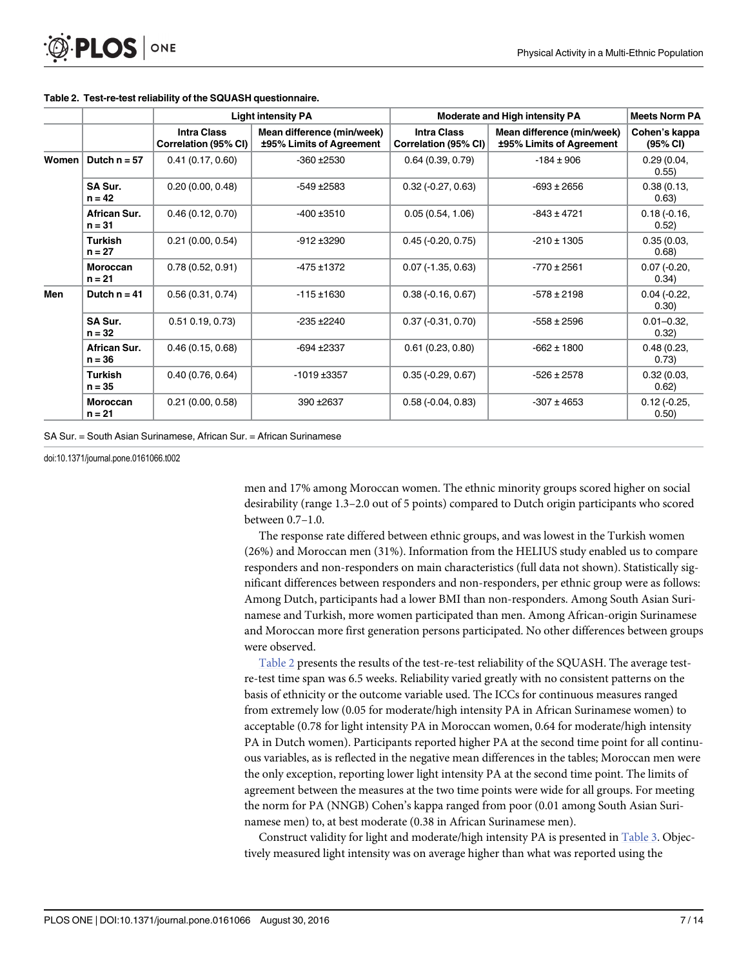|       |                            | <b>Light intensity PA</b><br>Moderate and High intensity PA |                                                        |                                            | <b>Meets Norm PA</b>                                   |                           |
|-------|----------------------------|-------------------------------------------------------------|--------------------------------------------------------|--------------------------------------------|--------------------------------------------------------|---------------------------|
|       |                            | <b>Intra Class</b><br>Correlation (95% CI)                  | Mean difference (min/week)<br>±95% Limits of Agreement | <b>Intra Class</b><br>Correlation (95% CI) | Mean difference (min/week)<br>±95% Limits of Agreement | Cohen's kappa<br>(95% CI) |
| Women | Dutch $n = 57$             | 0.41(0.17, 0.60)                                            | $-360 + 2530$                                          | 0.64(0.39, 0.79)                           | $-184 \pm 906$                                         | 0.29(0.04,<br>0.55)       |
|       | SA Sur.<br>$n = 42$        | 0.20(0.00, 0.48)                                            | $-549 + 2583$                                          | $0.32$ (-0.27, 0.63)                       | $-693 \pm 2656$                                        | 0.38(0.13,<br>0.63)       |
|       | African Sur.<br>$n = 31$   | 0.46(0.12, 0.70)                                            | $-400 + 3510$                                          | 0.05(0.54, 1.06)                           | $-843 \pm 4721$                                        | $0.18(-0.16,$<br>0.52)    |
|       | <b>Turkish</b><br>$n = 27$ | 0.21(0.00, 0.54)                                            | $-912 + 3290$                                          | $0.45 (-0.20, 0.75)$                       | $-210 \pm 1305$                                        | 0.35(0.03,<br>0.68)       |
|       | Moroccan<br>$n = 21$       | 0.78(0.52, 0.91)                                            | -475 ±1372                                             | $0.07$ ( $-1.35, 0.63$ )                   | $-770 \pm 2561$                                        | $0.07(-0.20,$<br>0.34)    |
| Men   | Dutch $n = 41$             | 0.56(0.31, 0.74)                                            | $-115 + 1630$                                          | $0.38(-0.16, 0.67)$                        | $-578 \pm 2198$                                        | $0.04(-0.22,$<br>0.30)    |
|       | SA Sur.<br>$n = 32$        | $0.51$ $0.19$ , $0.73$ )                                    | $-235 + 2240$                                          | $0.37 (-0.31, 0.70)$                       | $-558 \pm 2596$                                        | $0.01 - 0.32$<br>0.32)    |
|       | African Sur.<br>$n = 36$   | 0.46(0.15, 0.68)                                            | $-694 + 2337$                                          | 0.61(0.23, 0.80)                           | $-662 \pm 1800$                                        | 0.48(0.23,<br>0.73)       |
|       | <b>Turkish</b><br>$n = 35$ | 0.40(0.76, 0.64)                                            | $-1019 + 3357$                                         | $0.35(-0.29, 0.67)$                        | $-526 \pm 2578$                                        | 0.32(0.03,<br>0.62)       |
|       | Moroccan<br>$n = 21$       | 0.21(0.00, 0.58)                                            | 390 ± 2637                                             | $0.58(-0.04, 0.83)$                        | $-307 \pm 4653$                                        | $0.12(-0.25,$<br>0.50)    |

#### <span id="page-7-0"></span>Table 2. Test-re-test reliability of the SQUASH questionnaire.

SA Sur. = South Asian Surinamese, African Sur. = African Surinamese

doi:10.1371/journal.pone.0161066.t002

men and 17% among Moroccan women. The ethnic minority groups scored higher on social desirability (range 1.3–2.0 out of 5 points) compared to Dutch origin participants who scored between 0.7–1.0.

The response rate differed between ethnic groups, and was lowest in the Turkish women (26%) and Moroccan men (31%). Information from the HELIUS study enabled us to compare responders and non-responders on main characteristics (full data not shown). Statistically significant differences between responders and non-responders, per ethnic group were as follows: Among Dutch, participants had a lower BMI than non-responders. Among South Asian Surinamese and Turkish, more women participated than men. Among African-origin Surinamese and Moroccan more first generation persons participated. No other differences between groups were observed.

Table 2 presents the results of the test-re-test reliability of the SQUASH. The average testre-test time span was 6.5 weeks. Reliability varied greatly with no consistent patterns on the basis of ethnicity or the outcome variable used. The ICCs for continuous measures ranged from extremely low (0.05 for moderate/high intensity PA in African Surinamese women) to acceptable (0.78 for light intensity PA in Moroccan women, 0.64 for moderate/high intensity PA in Dutch women). Participants reported higher PA at the second time point for all continuous variables, as is reflected in the negative mean differences in the tables; Moroccan men were the only exception, reporting lower light intensity PA at the second time point. The limits of agreement between the measures at the two time points were wide for all groups. For meeting the norm for PA (NNGB) Cohen's kappa ranged from poor (0.01 among South Asian Surinamese men) to, at best moderate (0.38 in African Surinamese men).

Construct validity for light and moderate/high intensity PA is presented in [Table 3](#page-8-0). Objectively measured light intensity was on average higher than what was reported using the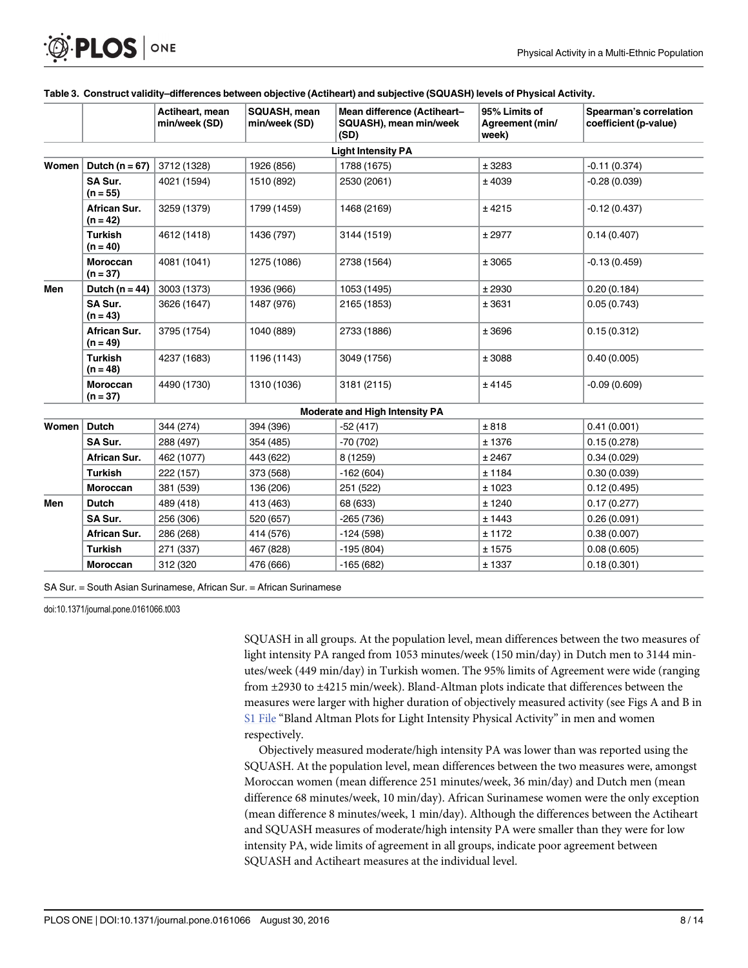<span id="page-8-0"></span>

|            |                               | Actiheart, mean<br>min/week (SD) | <b>SQUASH, mean</b><br>min/week (SD) | Mean difference (Actiheart-<br>SQUASH), mean min/week<br>(SD) | 95% Limits of<br>Agreement (min/<br>week) | Spearman's correlation<br>coefficient (p-value) |
|------------|-------------------------------|----------------------------------|--------------------------------------|---------------------------------------------------------------|-------------------------------------------|-------------------------------------------------|
|            |                               |                                  |                                      | <b>Light Intensity PA</b>                                     |                                           |                                                 |
| Women      | Dutch ( $n = 67$ )            | 3712 (1328)                      | 1926 (856)                           | 1788 (1675)                                                   | ± 3283                                    | $-0.11(0.374)$                                  |
|            | SA Sur.<br>$(n = 55)$         | 4021 (1594)                      | 1510 (892)                           | 2530 (2061)                                                   | ±4039                                     | $-0.28(0.039)$                                  |
|            | African Sur.<br>$(n = 42)$    | 3259 (1379)                      | 1799 (1459)                          | 1468 (2169)                                                   | ±4215                                     | $-0.12(0.437)$                                  |
|            | <b>Turkish</b><br>$(n = 40)$  | 4612 (1418)                      | 1436 (797)                           | 3144 (1519)                                                   | ± 2977                                    | 0.14(0.407)                                     |
|            | <b>Moroccan</b><br>$(n = 37)$ | 4081 (1041)                      | 1275 (1086)                          | 2738 (1564)                                                   | ± 3065                                    | $-0.13(0.459)$                                  |
| <b>Men</b> | Dutch ( $n = 44$ )            | 3003 (1373)                      | 1936 (966)                           | 1053 (1495)                                                   | ± 2930                                    | 0.20(0.184)                                     |
|            | SA Sur.<br>$(n = 43)$         | 3626 (1647)                      | 1487 (976)                           | 2165 (1853)                                                   | ± 3631                                    | 0.05(0.743)                                     |
|            | African Sur.<br>$(n = 49)$    | 3795 (1754)                      | 1040 (889)                           | 2733 (1886)                                                   | ± 3696                                    | 0.15(0.312)                                     |
|            | <b>Turkish</b><br>$(n = 48)$  | 4237 (1683)                      | 1196 (1143)                          | 3049 (1756)                                                   | ± 3088                                    | 0.40(0.005)                                     |
|            | <b>Moroccan</b><br>$(n = 37)$ | 4490 (1730)                      | 1310 (1036)                          | 3181 (2115)                                                   | ± 4145                                    | $-0.09(0.609)$                                  |
|            |                               |                                  |                                      | Moderate and High Intensity PA                                |                                           |                                                 |
| Women      | <b>Dutch</b>                  | 344 (274)                        | 394 (396)                            | -52 (417)                                                     | ±818                                      | 0.41(0.001)                                     |
|            | SA Sur.                       | 288 (497)                        | 354 (485)                            | -70 (702)                                                     | ± 1376                                    | 0.15(0.278)                                     |
|            | African Sur.                  | 462 (1077)                       | 443 (622)                            | 8 (1259)                                                      | ± 2467                                    | 0.34(0.029)                                     |
|            | <b>Turkish</b>                | 222 (157)                        | 373 (568)                            | $-162(604)$                                                   | ± 1184                                    | 0.30(0.039)                                     |
|            | <b>Moroccan</b>               | 381 (539)                        | 136 (206)                            | 251 (522)                                                     | ± 1023                                    | 0.12(0.495)                                     |
| Men        | <b>Dutch</b>                  | 489 (418)                        | 413 (463)                            | 68 (633)                                                      | ± 1240                                    | 0.17(0.277)                                     |
|            | SA Sur.                       | 256 (306)                        | 520 (657)                            | -265 (736)                                                    | ± 1443                                    | 0.26(0.091)                                     |
|            | African Sur.                  | 286 (268)                        | 414 (576)                            | $-124(598)$                                                   | ± 1172                                    | 0.38(0.007)                                     |
|            | <b>Turkish</b>                | 271 (337)                        | 467 (828)                            | $-195(804)$                                                   | ± 1575                                    | 0.08(0.605)                                     |
|            | <b>Moroccan</b>               | 312 (320                         | 476 (666)                            | $-165(682)$                                                   | ± 1337                                    | 0.18(0.301)                                     |

#### [Table 3.](#page-7-0) Construct validity–differences between objective (Actiheart) and subjective (SQUASH) levels of Physical Activity.

SA Sur. = South Asian Surinamese, African Sur. = African Surinamese

doi:10.1371/journal.pone.0161066.t003

SQUASH in all groups. At the population level, mean differences between the two measures of light intensity PA ranged from 1053 minutes/week (150 min/day) in Dutch men to 3144 minutes/week (449 min/day) in Turkish women. The 95% limits of Agreement were wide (ranging from ±2930 to ±4215 min/week). Bland-Altman plots indicate that differences between the measures were larger with higher duration of objectively measured activity (see Figs A and B in [S1 File](#page-12-0) "Bland Altman Plots for Light Intensity Physical Activity" in men and women respectively.

Objectively measured moderate/high intensity PA was lower than was reported using the SQUASH. At the population level, mean differences between the two measures were, amongst Moroccan women (mean difference 251 minutes/week, 36 min/day) and Dutch men (mean difference 68 minutes/week, 10 min/day). African Surinamese women were the only exception (mean difference 8 minutes/week, 1 min/day). Although the differences between the Actiheart and SQUASH measures of moderate/high intensity PA were smaller than they were for low intensity PA, wide limits of agreement in all groups, indicate poor agreement between SQUASH and Actiheart measures at the individual level.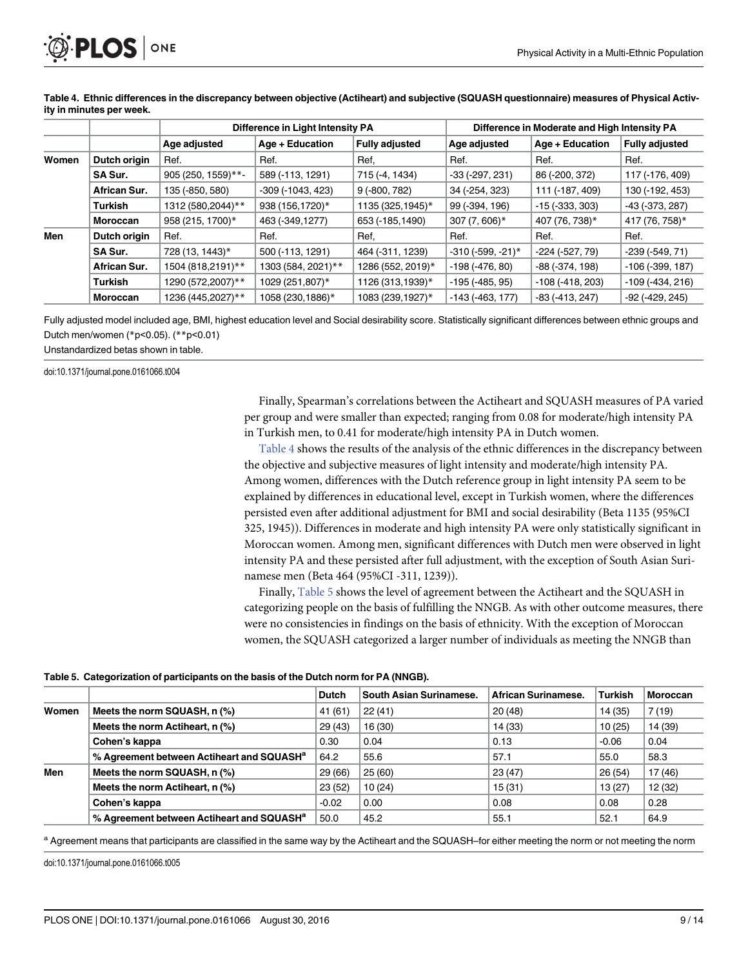

|       |                |                    | Difference in Light Intensity PA |                       |                     | Difference in Moderate and High Intensity PA |                       |  |
|-------|----------------|--------------------|----------------------------------|-----------------------|---------------------|----------------------------------------------|-----------------------|--|
|       |                | Age adjusted       | Age + Education                  | <b>Fully adjusted</b> | Age adjusted        | Age + Education                              | <b>Fully adjusted</b> |  |
| Women | Dutch origin   | Ref.               | Ref.                             | Ref.                  | Ref.                | Ref.                                         | Ref.                  |  |
|       | <b>SA Sur.</b> | 905 (250, 1559)**- | 589 (-113, 1291)                 | 715 (-4, 1434)        | $-33(-297, 231)$    | 86 (-200, 372)                               | 117 (-176, 409)       |  |
|       | African Sur.   | 135 (-850, 580)    | -309 (-1043, 423)                | $9(-800, 782)$        | 34 (-254, 323)      | 111 (-187, 409)                              | 130 (-192, 453)       |  |
|       | Turkish        | 1312 (580,2044)**  | 938 (156,1720)*                  | 1135 (325, 1945)*     | 99 (-394, 196)      | $-15$ ( $-333, 303$ )                        | -43 (-373, 287)       |  |
|       | Moroccan       | 958 (215, 1700)*   | 463 (-349,1277)                  | 653 (-185,1490)       | $307(7, 606)^*$     | 407 (76, 738)*                               | 417 (76, 758)*        |  |
| Men   | Dutch origin   | Ref.               | Ref.                             | Ref,                  | Ref.                | Ref.                                         | Ref.                  |  |
|       | <b>SA Sur.</b> | 728 (13, 1443)*    | 500 (-113, 1291)                 | 464 (-311, 1239)      | $-310(-599, -21)^*$ | $-224 (-527, 79)$                            | $-239(-549, 71)$      |  |
|       | African Sur.   | 1504 (818,2191)**  | 1303 (584, 2021)**               | 1286 (552, 2019)*     | $-198(-476, 80)$    | $-88$ ( $-374$ , 198)                        | -106 (-399, 187)      |  |
|       | Turkish        | 1290 (572,2007)**  | 1029 (251,807)*                  | 1126 (313,1939)*      | -195 (-485, 95)     | -108 (-418, 203)                             | -109 (-434, 216)      |  |
|       | Moroccan       | 1236 (445,2027)**  | 1058 (230,1886)*                 | 1083 (239, 1927)*     | -143 (-463, 177)    | -83 (-413, 247)                              | -92 (-429, 245)       |  |

Table 4. Ethnic differences in the discrepancy between objective (Actiheart) and subjective (SQUASH questionnaire) measures of Physical Activity in minutes per week.

Fully adjusted model included age, BMI, highest education level and Social desirability score. Statistically significant differences between ethnic groups and Dutch men/women (\*p<0.05). (\*\*p<0.01)

Unstandardized betas shown in table.

doi:10.1371/journal.pone.0161066.t004

Finally, Spearman's correlations between the Actiheart and SQUASH measures of PA varied per group and were smaller than expected; ranging from 0.08 for moderate/high intensity PA in Turkish men, to 0.41 for moderate/high intensity PA in Dutch women.

Table 4 shows the results of the analysis of the ethnic differences in the discrepancy between the objective and subjective measures of light intensity and moderate/high intensity PA. Among women, differences with the Dutch reference group in light intensity PA seem to be explained by differences in educational level, except in Turkish women, where the differences persisted even after additional adjustment for BMI and social desirability (Beta 1135 (95%CI 325, 1945)). Differences in moderate and high intensity PA were only statistically significant in Moroccan women. Among men, significant differences with Dutch men were observed in light intensity PA and these persisted after full adjustment, with the exception of South Asian Surinamese men (Beta 464 (95%CI -311, 1239)).

Finally, Table 5 shows the level of agreement between the Actiheart and the SQUASH in categorizing people on the basis of fulfilling the NNGB. As with other outcome measures, there were no consistencies in findings on the basis of ethnicity. With the exception of Moroccan women, the SQUASH categorized a larger number of individuals as meeting the NNGB than

Table 5. Categorization of participants on the basis of the Dutch norm for PA (NNGB).

|       |                                                       | <b>Dutch</b> | South Asian Surinamese. | African Surinamese. | ⊺Turkish | Moroccan |  |  |  |  |
|-------|-------------------------------------------------------|--------------|-------------------------|---------------------|----------|----------|--|--|--|--|
| Women | Meets the norm SQUASH, $n$ $%$ )                      | 41 (61)      | 22(41)                  | 20(48)              | 14 (35)  | 7(19)    |  |  |  |  |
|       | Meets the norm Actiheart, n (%)                       | 29(43)       | 16 (30)                 | 14 (33)             | 10(25)   | 14 (39)  |  |  |  |  |
|       | Cohen's kappa                                         | 0.30         | 0.04                    | 0.13                | $-0.06$  | 0.04     |  |  |  |  |
|       | % Agreement between Actiheart and SQUASH <sup>a</sup> | 64.2         | 55.6                    | 57.1                | 55.0     | 58.3     |  |  |  |  |
| Men   | Meets the norm SQUASH, n (%)                          | 29 (66)      | 25(60)                  | 23(47)              | 26(54)   | 17(46)   |  |  |  |  |
|       | Meets the norm Actiheart, n (%)                       | 23(52)       | 10(24)                  | 15(31)              | 13(27)   | 12 (32)  |  |  |  |  |
|       | Cohen's kappa                                         | $-0.02$      | 0.00                    | 0.08                | 0.08     | 0.28     |  |  |  |  |
|       | % Agreement between Actiheart and SQUASH <sup>a</sup> | 50.0         | 45.2                    | 55.1                | 52.1     | 64.9     |  |  |  |  |

a Agreement means that participants are classified in the same way by the Actiheart and the SQUASH–for either meeting the norm or not meeting the norm

doi:10.1371/journal.pone.0161066.t005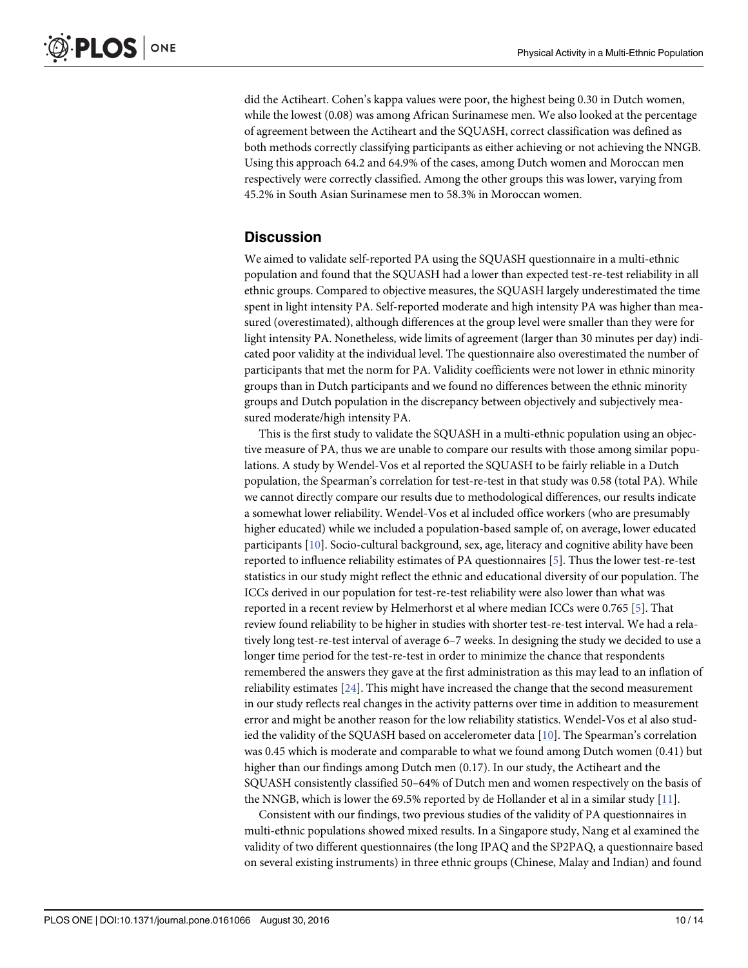<span id="page-10-0"></span>did the Actiheart. Cohen's kappa values were poor, the highest being 0.30 in Dutch women, while the lowest (0.08) was among African Surinamese men. We also looked at the percentage of agreement between the Actiheart and the SQUASH, correct classification was defined as both methods correctly classifying participants as either achieving or not achieving the NNGB. Using this approach 64.2 and 64.9% of the cases, among Dutch women and Moroccan men respectively were correctly classified. Among the other groups this was lower, varying from 45.2% in South Asian Surinamese men to 58.3% in Moroccan women.

#### **Discussion**

We aimed to validate self-reported PA using the SQUASH questionnaire in a multi-ethnic population and found that the SQUASH had a lower than expected test-re-test reliability in all ethnic groups. Compared to objective measures, the SQUASH largely underestimated the time spent in light intensity PA. Self-reported moderate and high intensity PA was higher than measured (overestimated), although differences at the group level were smaller than they were for light intensity PA. Nonetheless, wide limits of agreement (larger than 30 minutes per day) indicated poor validity at the individual level. The questionnaire also overestimated the number of participants that met the norm for PA. Validity coefficients were not lower in ethnic minority groups than in Dutch participants and we found no differences between the ethnic minority groups and Dutch population in the discrepancy between objectively and subjectively measured moderate/high intensity PA.

This is the first study to validate the SQUASH in a multi-ethnic population using an objective measure of PA, thus we are unable to compare our results with those among similar populations. A study by Wendel-Vos et al reported the SQUASH to be fairly reliable in a Dutch population, the Spearman's correlation for test-re-test in that study was 0.58 (total PA). While we cannot directly compare our results due to methodological differences, our results indicate a somewhat lower reliability. Wendel-Vos et al included office workers (who are presumably higher educated) while we included a population-based sample of, on average, lower educated participants [[10\]](#page-13-0). Socio-cultural background, sex, age, literacy and cognitive ability have been reported to influence reliability estimates of PA questionnaires [[5\]](#page-13-0). Thus the lower test-re-test statistics in our study might reflect the ethnic and educational diversity of our population. The ICCs derived in our population for test-re-test reliability were also lower than what was reported in a recent review by Helmerhorst et al where median ICCs were 0.765 [\[5\]](#page-13-0). That review found reliability to be higher in studies with shorter test-re-test interval. We had a relatively long test-re-test interval of average 6–7 weeks. In designing the study we decided to use a longer time period for the test-re-test in order to minimize the chance that respondents remembered the answers they gave at the first administration as this may lead to an inflation of reliability estimates [\[24\]](#page-14-0). This might have increased the change that the second measurement in our study reflects real changes in the activity patterns over time in addition to measurement error and might be another reason for the low reliability statistics. Wendel-Vos et al also studied the validity of the SQUASH based on accelerometer data [[10](#page-13-0)]. The Spearman's correlation was 0.45 which is moderate and comparable to what we found among Dutch women (0.41) but higher than our findings among Dutch men (0.17). In our study, the Actiheart and the SQUASH consistently classified 50–64% of Dutch men and women respectively on the basis of the NNGB, which is lower the 69.5% reported by de Hollander et al in a similar study  $[11]$  $[11]$  $[11]$ .

Consistent with our findings, two previous studies of the validity of PA questionnaires in multi-ethnic populations showed mixed results. In a Singapore study, Nang et al examined the validity of two different questionnaires (the long IPAQ and the SP2PAQ, a questionnaire based on several existing instruments) in three ethnic groups (Chinese, Malay and Indian) and found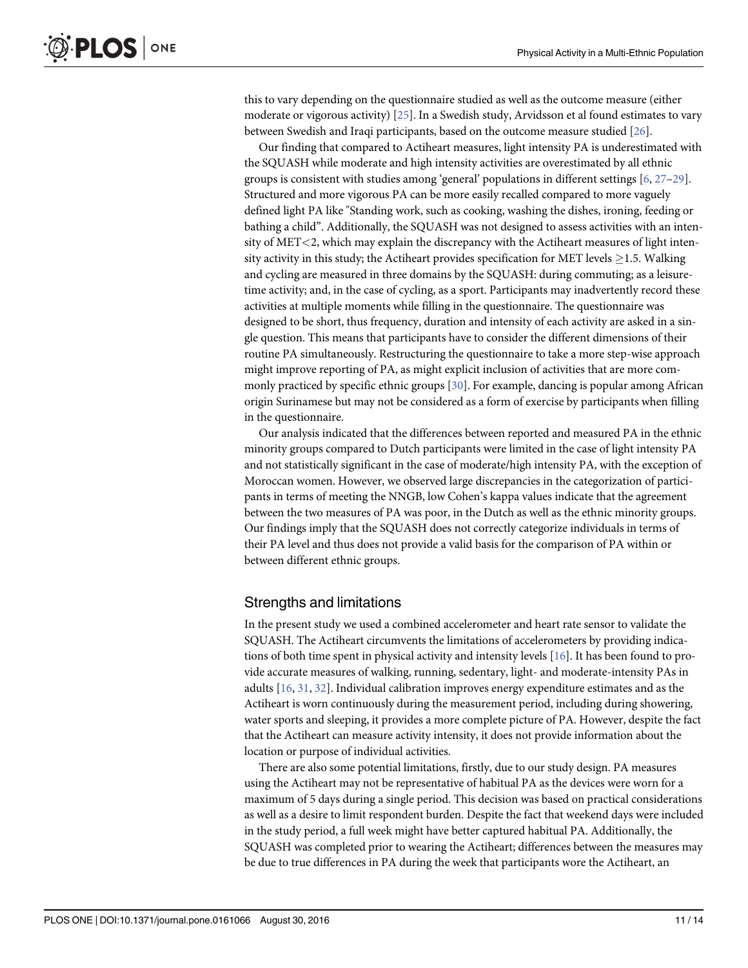<span id="page-11-0"></span>this to vary depending on the questionnaire studied as well as the outcome measure (either moderate or vigorous activity) [\[25\]](#page-14-0). In a Swedish study, Arvidsson et al found estimates to vary between Swedish and Iraqi participants, based on the outcome measure studied [[26\]](#page-14-0).

Our finding that compared to Actiheart measures, light intensity PA is underestimated with the SQUASH while moderate and high intensity activities are overestimated by all ethnic groups is consistent with studies among 'general' populations in different settings  $[6, 27-29]$  $[6, 27-29]$  $[6, 27-29]$  $[6, 27-29]$  $[6, 27-29]$  $[6, 27-29]$  $[6, 27-29]$ . Structured and more vigorous PA can be more easily recalled compared to more vaguely defined light PA like "Standing work, such as cooking, washing the dishes, ironing, feeding or bathing a child". Additionally, the SQUASH was not designed to assess activities with an intensity of MET<2, which may explain the discrepancy with the Actiheart measures of light intensity activity in this study; the Actiheart provides specification for MET levels  $\geq$  1.5. Walking and cycling are measured in three domains by the SQUASH: during commuting; as a leisuretime activity; and, in the case of cycling, as a sport. Participants may inadvertently record these activities at multiple moments while filling in the questionnaire. The questionnaire was designed to be short, thus frequency, duration and intensity of each activity are asked in a single question. This means that participants have to consider the different dimensions of their routine PA simultaneously. Restructuring the questionnaire to take a more step-wise approach might improve reporting of PA, as might explicit inclusion of activities that are more commonly practiced by specific ethnic groups [[30](#page-14-0)]. For example, dancing is popular among African origin Surinamese but may not be considered as a form of exercise by participants when filling in the questionnaire.

Our analysis indicated that the differences between reported and measured PA in the ethnic minority groups compared to Dutch participants were limited in the case of light intensity PA and not statistically significant in the case of moderate/high intensity PA, with the exception of Moroccan women. However, we observed large discrepancies in the categorization of participants in terms of meeting the NNGB, low Cohen's kappa values indicate that the agreement between the two measures of PA was poor, in the Dutch as well as the ethnic minority groups. Our findings imply that the SQUASH does not correctly categorize individuals in terms of their PA level and thus does not provide a valid basis for the comparison of PA within or between different ethnic groups.

#### Strengths and limitations

In the present study we used a combined accelerometer and heart rate sensor to validate the SQUASH. The Actiheart circumvents the limitations of accelerometers by providing indications of both time spent in physical activity and intensity levels [[16](#page-13-0)]. It has been found to provide accurate measures of walking, running, sedentary, light- and moderate-intensity PAs in adults [[16](#page-13-0), [31](#page-14-0), [32](#page-14-0)]. Individual calibration improves energy expenditure estimates and as the Actiheart is worn continuously during the measurement period, including during showering, water sports and sleeping, it provides a more complete picture of PA. However, despite the fact that the Actiheart can measure activity intensity, it does not provide information about the location or purpose of individual activities.

There are also some potential limitations, firstly, due to our study design. PA measures using the Actiheart may not be representative of habitual PA as the devices were worn for a maximum of 5 days during a single period. This decision was based on practical considerations as well as a desire to limit respondent burden. Despite the fact that weekend days were included in the study period, a full week might have better captured habitual PA. Additionally, the SQUASH was completed prior to wearing the Actiheart; differences between the measures may be due to true differences in PA during the week that participants wore the Actiheart, an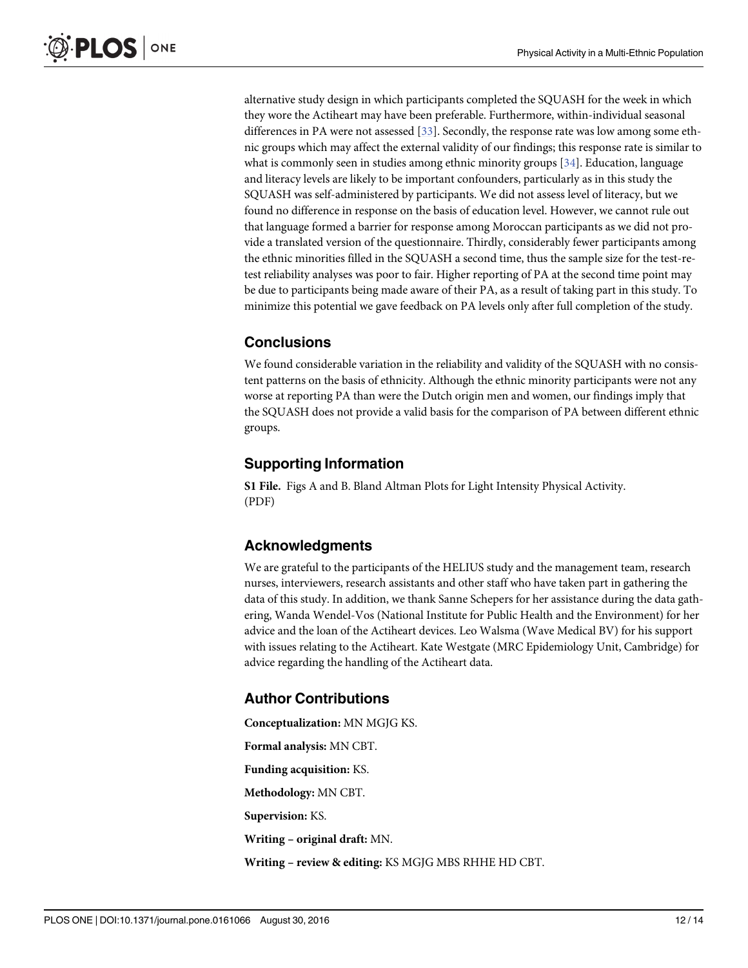<span id="page-12-0"></span>alternative study design in which participants completed the SQUASH for the week in which they wore the Actiheart may have been preferable. Furthermore, within-individual seasonal differences in PA were not assessed [\[33\]](#page-14-0). Secondly, the response rate was low among some ethnic groups which may affect the external validity of our findings; this response rate is similar to what is commonly seen in studies among ethnic minority groups [[34](#page-14-0)]. Education, language and literacy levels are likely to be important confounders, particularly as in this study the SQUASH was self-administered by participants. We did not assess level of literacy, but we found no difference in response on the basis of education level. However, we cannot rule out that language formed a barrier for response among Moroccan participants as we did not provide a translated version of the questionnaire. Thirdly, considerably fewer participants among the ethnic minorities filled in the SQUASH a second time, thus the sample size for the test-retest reliability analyses was poor to fair. Higher reporting of PA at the second time point may be due to participants being made aware of their PA, as a result of taking part in this study. To minimize this potential we gave feedback on PA levels only after full completion of the study.

## **Conclusions**

We found considerable variation in the reliability and validity of the SQUASH with no consistent patterns on the basis of ethnicity. Although the ethnic minority participants were not any worse at reporting PA than were the Dutch origin men and women, our findings imply that the SQUASH does not provide a valid basis for the comparison of PA between different ethnic groups.

## Supporting Information

[S1 File.](http://www.plosone.org/article/fetchSingleRepresentation.action?uri=info:doi/10.1371/journal.pone.0161066.s001) Figs A and B. Bland Altman Plots for Light Intensity Physical Activity. (PDF)

## Acknowledgments

We are grateful to the participants of the HELIUS study and the management team, research nurses, interviewers, research assistants and other staff who have taken part in gathering the data of this study. In addition, we thank Sanne Schepers for her assistance during the data gathering, Wanda Wendel-Vos (National Institute for Public Health and the Environment) for her advice and the loan of the Actiheart devices. Leo Walsma (Wave Medical BV) for his support with issues relating to the Actiheart. Kate Westgate (MRC Epidemiology Unit, Cambridge) for advice regarding the handling of the Actiheart data.

## Author Contributions

Conceptualization: MN MGJG KS. Formal analysis: MN CBT. Funding acquisition: KS. Methodology: MN CBT. Supervision: KS. Writing – original draft: MN. Writing – review & editing: KS MGJG MBS RHHE HD CBT.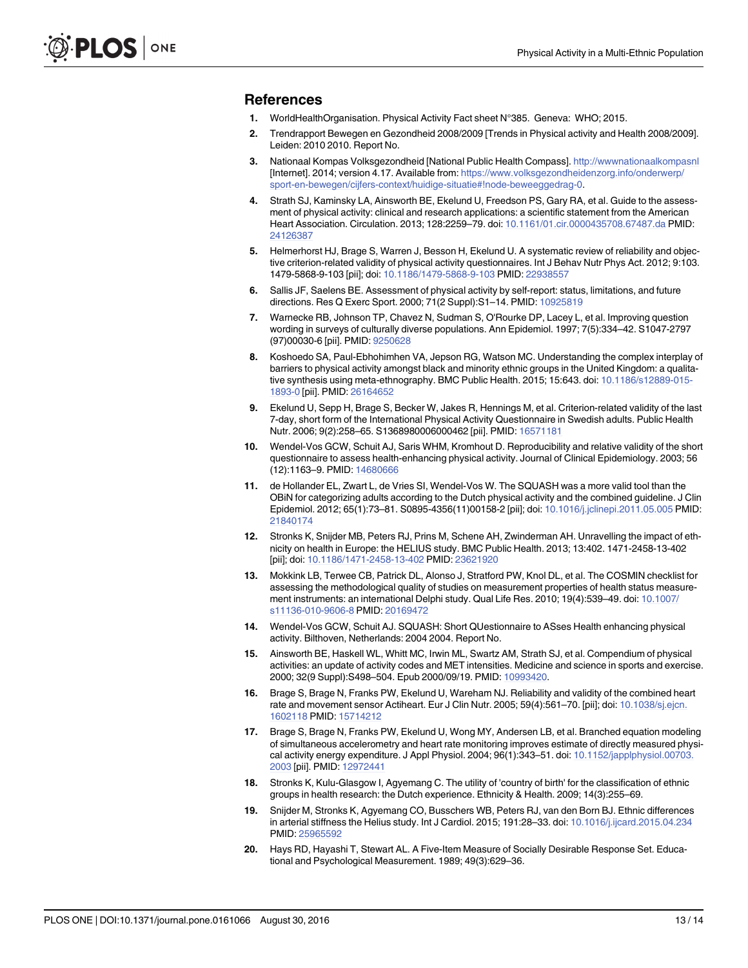#### <span id="page-13-0"></span>References

- [1.](#page-2-0) WorldHealthOrganisation. Physical Activity Fact sheet N°385. Geneva: WHO; 2015.
- [2.](#page-2-0) Trendrapport Bewegen en Gezondheid 2008/2009 [Trends in Physical activity and Health 2008/2009]. Leiden: 2010 2010. Report No.
- [3.](#page-2-0) Nationaal Kompas Volksgezondheid [National Public Health Compass]. <http://wwwnationaalkompasnl> [Internet]. 2014; version 4.17. Available from: [https://www.volksgezondheidenzorg.info/onderwerp/](https://www.volksgezondheidenzorg.info/onderwerp/sport-en-bewegen/cijfers-context/huidige-situatie#!node-beweeggedrag-0) [sport-en-bewegen/cijfers-context/huidige-situatie#!node-beweeggedrag-0.](https://www.volksgezondheidenzorg.info/onderwerp/sport-en-bewegen/cijfers-context/huidige-situatie#!node-beweeggedrag-0)
- [4.](#page-2-0) Strath SJ, Kaminsky LA, Ainsworth BE, Ekelund U, Freedson PS, Gary RA, et al. Guide to the assessment of physical activity: clinical and research applications: a scientific statement from the American Heart Association. Circulation. 2013; 128:2259–79. doi: [10.1161/01.cir.0000435708.67487.da](http://dx.doi.org/10.1161/01.cir.0000435708.67487.da) PMID: [24126387](http://www.ncbi.nlm.nih.gov/pubmed/24126387)
- [5.](#page-2-0) Helmerhorst HJ, Brage S, Warren J, Besson H, Ekelund U. A systematic review of reliability and objective criterion-related validity of physical activity questionnaires. Int J Behav Nutr Phys Act. 2012; 9:103. 1479-5868-9-103 [pii]; doi: [10.1186/1479-5868-9-103](http://dx.doi.org/10.1186/1479-5868-9-103) PMID: [22938557](http://www.ncbi.nlm.nih.gov/pubmed/22938557)
- [6.](#page-2-0) Sallis JF, Saelens BE. Assessment of physical activity by self-report: status, limitations, and future directions. Res Q Exerc Sport. 2000; 71(2 Suppl):S1–14. PMID: [10925819](http://www.ncbi.nlm.nih.gov/pubmed/10925819)
- 7. Warnecke RB, Johnson TP, Chavez N, Sudman S, O'Rourke DP, Lacey L, et al. Improving question wording in surveys of culturally diverse populations. Ann Epidemiol. 1997; 7(5):334–42. S1047-2797 (97)00030-6 [pii]. PMID: [9250628](http://www.ncbi.nlm.nih.gov/pubmed/9250628)
- [8.](#page-2-0) Koshoedo SA, Paul-Ebhohimhen VA, Jepson RG, Watson MC. Understanding the complex interplay of barriers to physical activity amongst black and minority ethnic groups in the United Kingdom: a qualitative synthesis using meta-ethnography. BMC Public Health. 2015; 15:643. doi: [10.1186/s12889-015-](http://dx.doi.org/10.1186/s12889-015-1893-0) [1893-0](http://dx.doi.org/10.1186/s12889-015-1893-0) [pii]. PMID: [26164652](http://www.ncbi.nlm.nih.gov/pubmed/26164652)
- [9.](#page-2-0) Ekelund U, Sepp H, Brage S, Becker W, Jakes R, Hennings M, et al. Criterion-related validity of the last 7-day, short form of the International Physical Activity Questionnaire in Swedish adults. Public Health Nutr. 2006; 9(2):258–65. S1368980006000462 [pii]. PMID: [16571181](http://www.ncbi.nlm.nih.gov/pubmed/16571181)
- [10.](#page-2-0) Wendel-Vos GCW, Schuit AJ, Saris WHM, Kromhout D. Reproducibility and relative validity of the short questionnaire to assess health-enhancing physical activity. Journal of Clinical Epidemiology. 2003; 56 (12):1163-9. PMID: [14680666](http://www.ncbi.nlm.nih.gov/pubmed/14680666)
- [11.](#page-2-0) de Hollander EL, Zwart L, de Vries SI, Wendel-Vos W. The SQUASH was a more valid tool than the OBiN for categorizing adults according to the Dutch physical activity and the combined guideline. J Clin Epidemiol. 2012; 65(1):73–81. S0895-4356(11)00158-2 [pii]; doi: [10.1016/j.jclinepi.2011.05.005](http://dx.doi.org/10.1016/j.jclinepi.2011.05.005) PMID: [21840174](http://www.ncbi.nlm.nih.gov/pubmed/21840174)
- [12.](#page-2-0) Stronks K, Snijder MB, Peters RJ, Prins M, Schene AH, Zwinderman AH. Unravelling the impact of ethnicity on health in Europe: the HELIUS study. BMC Public Health. 2013; 13:402. 1471-2458-13-402 [pii]; doi: [10.1186/1471-2458-13-402](http://dx.doi.org/10.1186/1471-2458-13-402) PMID: [23621920](http://www.ncbi.nlm.nih.gov/pubmed/23621920)
- [13.](#page-3-0) Mokkink LB, Terwee CB, Patrick DL, Alonso J, Stratford PW, Knol DL, et al. The COSMIN checklist for assessing the methodological quality of studies on measurement properties of health status measurement instruments: an international Delphi study. Qual Life Res. 2010; 19(4):539–49. doi: [10.1007/](http://dx.doi.org/10.1007/s11136-010-9606-8) [s11136-010-9606-8](http://dx.doi.org/10.1007/s11136-010-9606-8) PMID: [20169472](http://www.ncbi.nlm.nih.gov/pubmed/20169472)
- [14.](#page-3-0) Wendel-Vos GCW, Schuit AJ. SQUASH: Short QUestionnaire to ASses Health enhancing physical activity. Bilthoven, Netherlands: 2004 2004. Report No.
- [15.](#page-3-0) Ainsworth BE, Haskell WL, Whitt MC, Irwin ML, Swartz AM, Strath SJ, et al. Compendium of physical activities: an update of activity codes and MET intensities. Medicine and science in sports and exercise. 2000; 32(9 Suppl):S498–504. Epub 2000/09/19. PMID: [10993420.](http://www.ncbi.nlm.nih.gov/pubmed/10993420)
- [16.](#page-4-0) Brage S, Brage N, Franks PW, Ekelund U, Wareham NJ. Reliability and validity of the combined heart rate and movement sensor Actiheart. Eur J Clin Nutr. 2005; 59(4):561-70. [pii]; doi: [10.1038/sj.ejcn.](http://dx.doi.org/10.1038/sj.ejcn.1602118) [1602118](http://dx.doi.org/10.1038/sj.ejcn.1602118) PMID: [15714212](http://www.ncbi.nlm.nih.gov/pubmed/15714212)
- [17.](#page-4-0) Brage S, Brage N, Franks PW, Ekelund U, Wong MY, Andersen LB, et al. Branched equation modeling of simultaneous accelerometry and heart rate monitoring improves estimate of directly measured physical activity energy expenditure. J Appl Physiol. 2004; 96(1):343–51. doi: [10.1152/japplphysiol.00703.](http://dx.doi.org/10.1152/japplphysiol.00703.2003) [2003](http://dx.doi.org/10.1152/japplphysiol.00703.2003) [pii]. PMID: [12972441](http://www.ncbi.nlm.nih.gov/pubmed/12972441)
- [18.](#page-5-0) Stronks K, Kulu-Glasgow I, Agyemang C. The utility of 'country of birth' for the classification of ethnic groups in health research: the Dutch experience. Ethnicity & Health. 2009; 14(3):255–69.
- [19.](#page-5-0) Snijder M, Stronks K, Agyemang CO, Busschers WB, Peters RJ, van den Born BJ. Ethnic differences in arterial stiffness the Helius study. Int J Cardiol. 2015; 191:28–33. doi: [10.1016/j.ijcard.2015.04.234](http://dx.doi.org/10.1016/j.ijcard.2015.04.234) PMID: [25965592](http://www.ncbi.nlm.nih.gov/pubmed/25965592)
- [20.](#page-5-0) Hays RD, Hayashi T, Stewart AL. A Five-Item Measure of Socially Desirable Response Set. Educational and Psychological Measurement. 1989; 49(3):629–36.